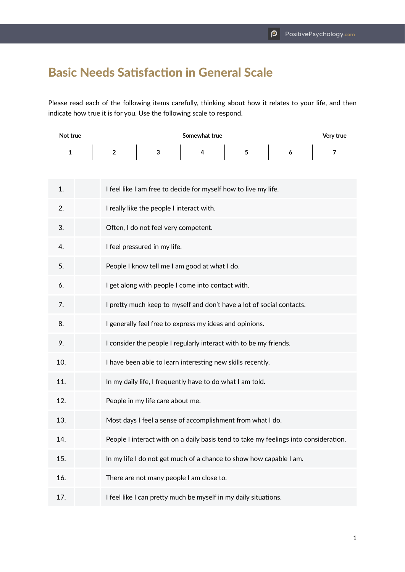## Basic Needs Satisfaction in General Scale

Please read each of the following items carefully, thinking about how it relates to your life, and then indicate how true it is for you. Use the following scale to respond.

| Not true |              | Somewhat true                                                     |                                                   |  |                |                                                                                      |  |                          | Very true               |  |
|----------|--------------|-------------------------------------------------------------------|---------------------------------------------------|--|----------------|--------------------------------------------------------------------------------------|--|--------------------------|-------------------------|--|
|          | $\mathbf{1}$ | $\overline{2}$                                                    | $\overline{\mathbf{3}}$                           |  | $\overline{4}$ |                                                                                      |  | $\overline{\phantom{a}}$ | $\overline{\mathbf{z}}$ |  |
| 1.       |              |                                                                   |                                                   |  |                | I feel like I am free to decide for myself how to live my life.                      |  |                          |                         |  |
| 2.       |              |                                                                   | I really like the people I interact with.         |  |                |                                                                                      |  |                          |                         |  |
| 3.       |              | Often, I do not feel very competent.                              |                                                   |  |                |                                                                                      |  |                          |                         |  |
| 4.       |              | I feel pressured in my life.                                      |                                                   |  |                |                                                                                      |  |                          |                         |  |
| 5.       |              |                                                                   | People I know tell me I am good at what I do.     |  |                |                                                                                      |  |                          |                         |  |
| 6.       |              |                                                                   | I get along with people I come into contact with. |  |                |                                                                                      |  |                          |                         |  |
| 7.       |              |                                                                   |                                                   |  |                | I pretty much keep to myself and don't have a lot of social contacts.                |  |                          |                         |  |
| 8.       |              |                                                                   |                                                   |  |                | I generally feel free to express my ideas and opinions.                              |  |                          |                         |  |
| 9.       |              | I consider the people I regularly interact with to be my friends. |                                                   |  |                |                                                                                      |  |                          |                         |  |
| 10.      |              |                                                                   |                                                   |  |                | I have been able to learn interesting new skills recently.                           |  |                          |                         |  |
| 11.      |              |                                                                   |                                                   |  |                | In my daily life, I frequently have to do what I am told.                            |  |                          |                         |  |
| 12.      |              |                                                                   | People in my life care about me.                  |  |                |                                                                                      |  |                          |                         |  |
| 13.      |              |                                                                   |                                                   |  |                | Most days I feel a sense of accomplishment from what I do.                           |  |                          |                         |  |
| 14.      |              |                                                                   |                                                   |  |                | People I interact with on a daily basis tend to take my feelings into consideration. |  |                          |                         |  |
| 15.      |              |                                                                   |                                                   |  |                | In my life I do not get much of a chance to show how capable I am.                   |  |                          |                         |  |
| 16.      |              |                                                                   | There are not many people I am close to.          |  |                |                                                                                      |  |                          |                         |  |
| 17.      |              |                                                                   |                                                   |  |                | I feel like I can pretty much be myself in my daily situations.                      |  |                          |                         |  |